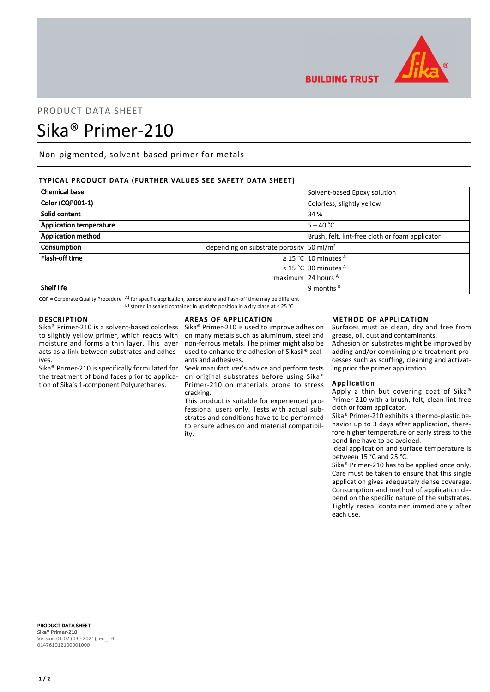

# PRODUCT DATA SHEET Sika® Primer-210

Non-pigmented, solvent-based primer for metals

# TYPICAL PRODUCT DATA (FURTHER VALUES SEE SAFETY DATA SHEET)

| <b>Chemical base</b>           | Solvent-based Epoxy solution                             |
|--------------------------------|----------------------------------------------------------|
| Color (CQP001-1)               | Colorless, slightly yellow                               |
| Solid content                  | 34 %                                                     |
| <b>Application temperature</b> | $5 - 40 °C$                                              |
| <b>Application method</b>      | Brush, felt, lint-free cloth or foam applicator          |
| <b>Consumption</b>             | depending on substrate porosity $\frac{50 \text{ m}}{2}$ |
| <b>Flash-off time</b>          | $\geq$ 15 °C 10 minutes <sup>A</sup>                     |
|                                | < 15 °C 30 minutes $A$                                   |
|                                | maximum 24 hours $A$                                     |
| Shelf life                     | 9 months $B$                                             |

 $CQP$  = Corporate Quality Procedure  $AP$  for specific application, temperature and flash-off time may be different B) stored in sealed container in up-right position in a dry place at ≤ 25 °C

## DESCRIPTION

Sika® Primer-210 is a solvent-based colorless to slightly yellow primer, which reacts with moisture and forms a thin layer. This layer acts as a link between substrates and adhesives.

Sika® Primer-210 is specifically formulated for the treatment of bond faces prior to application of Sika's 1-component Polyurethanes.

## AREAS OF APPLICATION

Sika® Primer-210 is used to improve adhesion on many metals such as aluminum, steel and non-ferrous metals. The primer might also be used to enhance the adhesion of Sikasil® sealants and adhesives.

Seek manufacturer's advice and perform tests on original substrates before using Sika® Primer-210 on materials prone to stress cracking.

This product is suitable for experienced professional users only. Tests with actual substrates and conditions have to be performed to ensure adhesion and material compatibility.

### METHOD OF APPLICATION

Surfaces must be clean, dry and free from grease, oil, dust and contaminants.

Adhesion on substrates might be improved by adding and/or combining pre-treatment processes such as scuffing, cleaning and activating prior the primer application.

## Application

**BUILDING TRUST** 

Apply a thin but covering coat of Sika® Primer-210 with a brush, felt, clean lint-free cloth or foam applicator.

Sika® Primer-210 exhibits a thermo-plastic behavior up to 3 days after application, therefore higher temperature or early stress to the bond line have to be avoided.

Ideal application and surface temperature is between 15 °C and 25 °C.

Sika® Primer-210 has to be applied once only. Care must be taken to ensure that this single application gives adequately dense coverage. Consumption and method of application depend on the specific nature of the substrates. Tightly reseal container immediately after each use.

PRODUCT DATA SHEET Sika® Primer-210 Version 01.02 (03 - 2021), en\_TH 014761012100001000